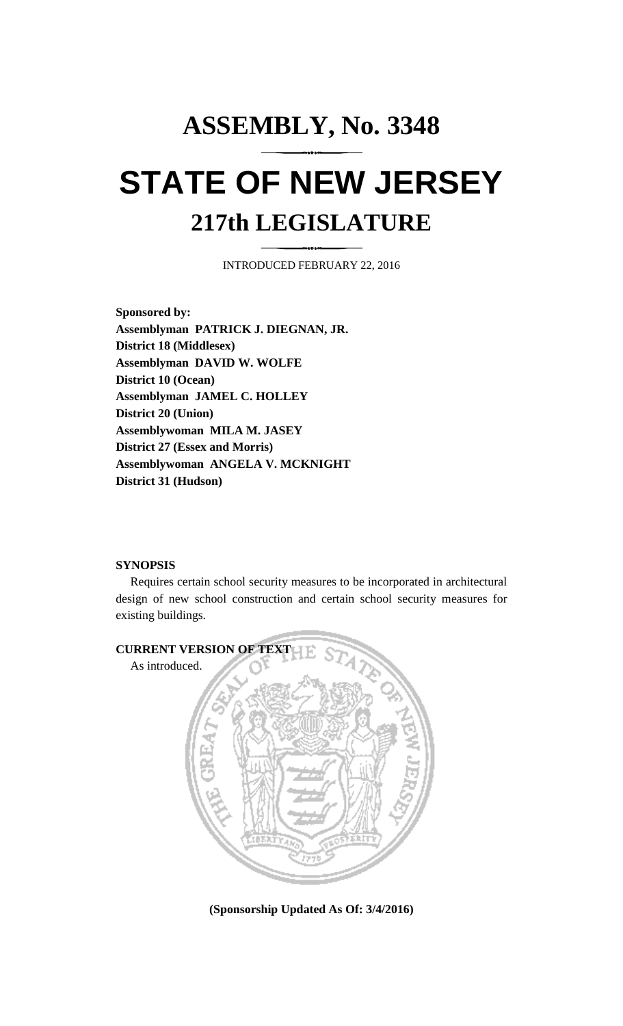## **ASSEMBLY, No. 3348 STATE OF NEW JERSEY 217th LEGISLATURE**

INTRODUCED FEBRUARY 22, 2016

**Sponsored by: Assemblyman PATRICK J. DIEGNAN, JR. District 18 (Middlesex) Assemblyman DAVID W. WOLFE District 10 (Ocean) Assemblyman JAMEL C. HOLLEY District 20 (Union) Assemblywoman MILA M. JASEY District 27 (Essex and Morris) Assemblywoman ANGELA V. MCKNIGHT District 31 (Hudson)**

## **SYNOPSIS**

Requires certain school security measures to be incorporated in architectural design of new school construction and certain school security measures for existing buildings.



**(Sponsorship Updated As Of: 3/4/2016)**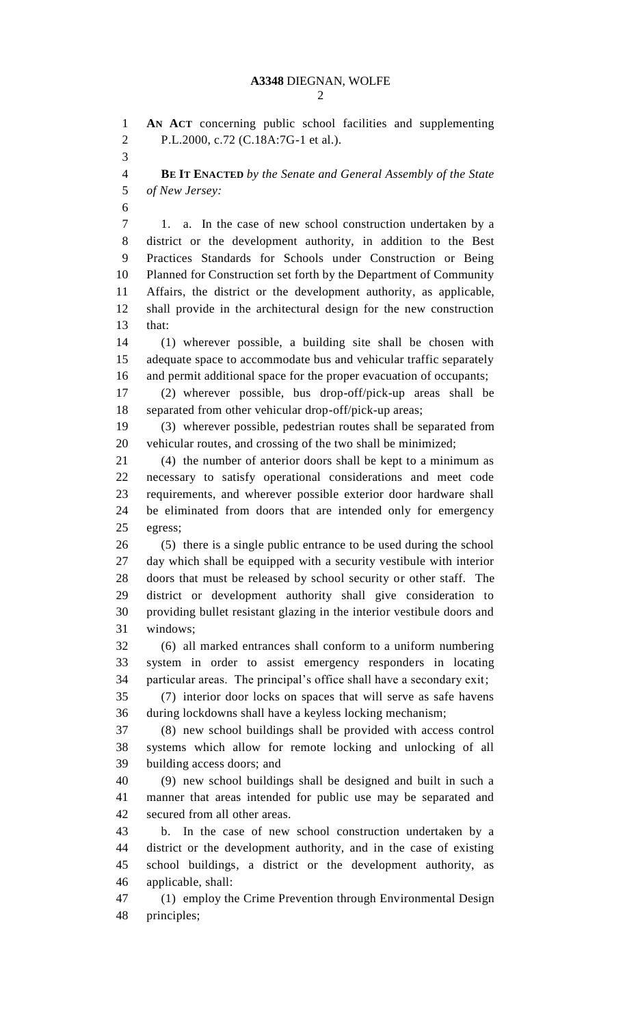**AN ACT** concerning public school facilities and supplementing P.L.2000, c.72 (C.18A:7G-1 et al.). **BE IT ENACTED** *by the Senate and General Assembly of the State of New Jersey:* 1. a. In the case of new school construction undertaken by a district or the development authority, in addition to the Best Practices Standards for Schools under Construction or Being Planned for Construction set forth by the Department of Community Affairs, the district or the development authority, as applicable, shall provide in the architectural design for the new construction that: (1) wherever possible, a building site shall be chosen with adequate space to accommodate bus and vehicular traffic separately and permit additional space for the proper evacuation of occupants; (2) wherever possible, bus drop-off/pick-up areas shall be separated from other vehicular drop-off/pick-up areas; (3) wherever possible, pedestrian routes shall be separated from vehicular routes, and crossing of the two shall be minimized; (4) the number of anterior doors shall be kept to a minimum as necessary to satisfy operational considerations and meet code requirements, and wherever possible exterior door hardware shall be eliminated from doors that are intended only for emergency egress; (5) there is a single public entrance to be used during the school day which shall be equipped with a security vestibule with interior doors that must be released by school security or other staff. The district or development authority shall give consideration to providing bullet resistant glazing in the interior vestibule doors and windows; (6) all marked entrances shall conform to a uniform numbering system in order to assist emergency responders in locating particular areas. The principal's office shall have a secondary exit; (7) interior door locks on spaces that will serve as safe havens during lockdowns shall have a keyless locking mechanism; (8) new school buildings shall be provided with access control systems which allow for remote locking and unlocking of all building access doors; and (9) new school buildings shall be designed and built in such a manner that areas intended for public use may be separated and secured from all other areas. b. In the case of new school construction undertaken by a district or the development authority, and in the case of existing school buildings, a district or the development authority, as applicable, shall: (1) employ the Crime Prevention through Environmental Design principles;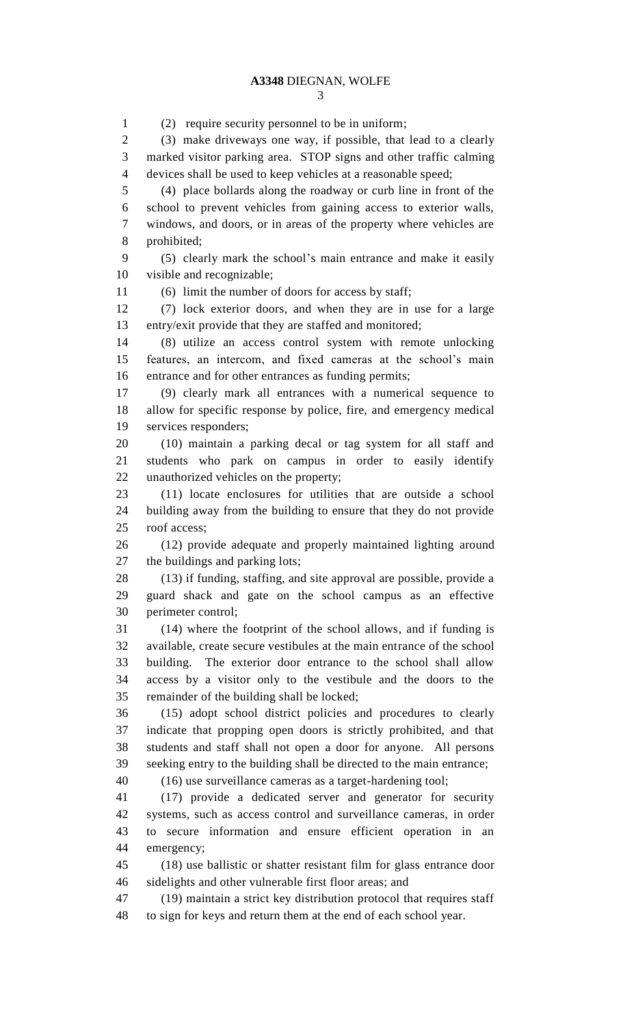(2) require security personnel to be in uniform; (3) make driveways one way, if possible, that lead to a clearly marked visitor parking area. STOP signs and other traffic calming devices shall be used to keep vehicles at a reasonable speed; (4) place bollards along the roadway or curb line in front of the school to prevent vehicles from gaining access to exterior walls, windows, and doors, or in areas of the property where vehicles are prohibited; (5) clearly mark the school's main entrance and make it easily visible and recognizable; (6) limit the number of doors for access by staff; (7) lock exterior doors, and when they are in use for a large entry/exit provide that they are staffed and monitored; (8) utilize an access control system with remote unlocking features, an intercom, and fixed cameras at the school's main entrance and for other entrances as funding permits; (9) clearly mark all entrances with a numerical sequence to allow for specific response by police, fire, and emergency medical services responders; (10) maintain a parking decal or tag system for all staff and students who park on campus in order to easily identify unauthorized vehicles on the property; (11) locate enclosures for utilities that are outside a school building away from the building to ensure that they do not provide roof access; (12) provide adequate and properly maintained lighting around the buildings and parking lots; (13) if funding, staffing, and site approval are possible, provide a guard shack and gate on the school campus as an effective perimeter control; (14) where the footprint of the school allows, and if funding is available, create secure vestibules at the main entrance of the school building. The exterior door entrance to the school shall allow access by a visitor only to the vestibule and the doors to the remainder of the building shall be locked; (15) adopt school district policies and procedures to clearly indicate that propping open doors is strictly prohibited, and that students and staff shall not open a door for anyone. All persons seeking entry to the building shall be directed to the main entrance; (16) use surveillance cameras as a target-hardening tool; (17) provide a dedicated server and generator for security systems, such as access control and surveillance cameras, in order to secure information and ensure efficient operation in an emergency; (18) use ballistic or shatter resistant film for glass entrance door sidelights and other vulnerable first floor areas; and (19) maintain a strict key distribution protocol that requires staff to sign for keys and return them at the end of each school year.